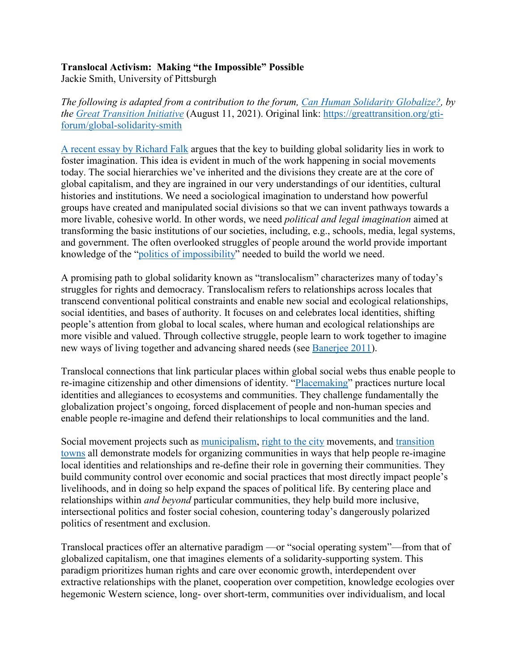## **Translocal Activism: Making "the Impossible" Possible**

Jackie Smith, University of Pittsburgh

*The following is adapted from a contribution to the forum, [Can Human Solidarity Globalize?,](https://greattransition.org/gti-forum/can-human-solidarity-globalize) by the [Great Transition Initiative](https://greattransition.org/)* (August 11, 2021). Original link: [https://greattransition.org/gti](https://greattransition.org/gti-forum/global-solidarity-smith)[forum/global-solidarity-smith](https://greattransition.org/gti-forum/global-solidarity-smith)

[A recent essay by Richard Falk](https://greattransition.org/images/Global-Solidarity-Falk.pdf) argues that the key to building global solidarity lies in work to foster imagination. This idea is evident in much of the work happening in social movements today. The social hierarchies we've inherited and the divisions they create are at the core of global capitalism, and they are ingrained in our very understandings of our identities, cultural histories and institutions. We need a sociological imagination to understand how powerful groups have created and manipulated social divisions so that we can invent pathways towards a more livable, cohesive world. In other words, we need *political and legal imagination* aimed at transforming the basic institutions of our societies, including, e.g., schools, media, legal systems, and government. The often overlooked struggles of people around the world provide important knowledge of the ["politics of impossibility"](https://greattransition.org/images/Global-Solidarity-Falk.pdf) needed to build the world we need.

A promising path to global solidarity known as "translocalism" characterizes many of today's struggles for rights and democracy. Translocalism refers to relationships across locales that transcend conventional political constraints and enable new social and ecological relationships, social identities, and bases of authority. It focuses on and celebrates local identities, shifting people's attention from global to local scales, where human and ecological relationships are more visible and valued. Through collective struggle, people learn to work together to imagine new ways of living together and advancing shared needs (see [Banerjee 2011\)](https://openaccess.city.ac.uk/id/eprint/6093/).

Translocal connections that link particular places within global social webs thus enable people to re-imagine citizenship and other dimensions of identity. ["Placemaking"](https://www.pps.org/article/what-is-placemaking) practices nurture local identities and allegiances to ecosystems and communities. They challenge fundamentally the globalization project's ongoing, forced displacement of people and non-human species and enable people re-imagine and defend their relationships to local communities and the land.

Social movement projects such as [municipalism,](https://www.opendemocracy.net/en/can-europe-make-it/new-international-municipalist-movement-is-on-rise-from-small-vic/) [right to the city](https://newleftreview.org/issues/ii53/articles/david-harvey-the-right-to-the-city) movements, and [transition](https://transitionnetwork.org/)  [towns](https://transitionnetwork.org/) all demonstrate models for organizing communities in ways that help people re-imagine local identities and relationships and re-define their role in governing their communities. They build community control over economic and social practices that most directly impact people's livelihoods, and in doing so help expand the spaces of political life. By centering place and relationships within *and beyond* particular communities, they help build more inclusive, intersectional politics and foster social cohesion, countering today's dangerously polarized politics of resentment and exclusion.

Translocal practices offer an alternative paradigm —or "social operating system"—from that of globalized capitalism, one that imagines elements of a solidarity-supporting system. This paradigm prioritizes human rights and care over economic growth, interdependent over extractive relationships with the planet, cooperation over competition, knowledge ecologies over hegemonic Western science, long- over short-term, communities over individualism, and local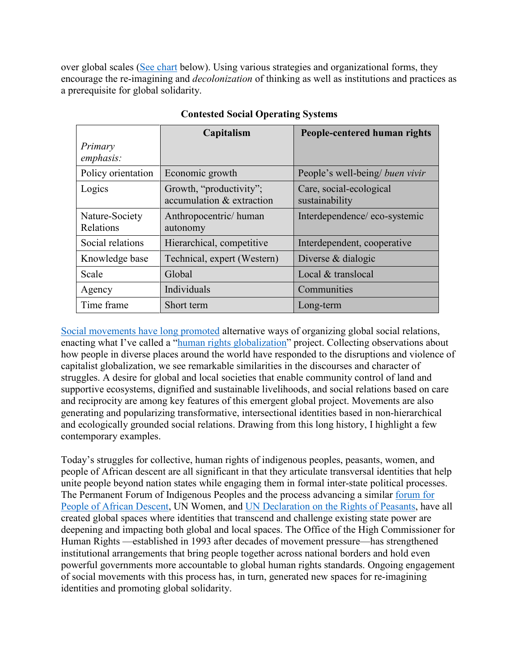over global scales [\(See chart](http://wiki.jsmithworkspace.mayfirst.org/images/7/78/Contested_Social_Operating_Systems.pdf) below). Using various strategies and organizational forms, they encourage the re-imagining and *decolonization* of thinking as well as institutions and practices as a prerequisite for global solidarity.

|                             | Capitalism                                           | People-centered human rights              |
|-----------------------------|------------------------------------------------------|-------------------------------------------|
| Primary<br>emphasis:        |                                                      |                                           |
| Policy orientation          | Economic growth                                      | People's well-being/ buen vivir           |
| Logics                      | Growth, "productivity";<br>accumulation & extraction | Care, social-ecological<br>sustainability |
| Nature-Society<br>Relations | Anthropocentric/human<br>autonomy                    | Interdependence/eco-systemic              |
| Social relations            | Hierarchical, competitive                            | Interdependent, cooperative               |
| Knowledge base              | Technical, expert (Western)                          | Diverse & dialogic                        |
| Scale                       | Global                                               | Local & translocal                        |
| Agency                      | Individuals                                          | Communities                               |
| Time frame                  | Short term                                           | Long-term                                 |

## **Contested Social Operating Systems**

[Social movements have long promoted](https://www.tandfonline.com/doi/full/10.1080/08854300.2019.1676030?scroll=top&needAccess=true) alternative ways of organizing global social relations, enacting what I've called a ["human rights globalization"](http://d-scholarship.pitt.edu/39154/1/Smith%20Chapter%20in%20M%20Goodhart%20Human%20Rights_DScholarship%20Version.pdf) project. Collecting observations about how people in diverse places around the world have responded to the disruptions and violence of capitalist globalization, we see remarkable similarities in the discourses and character of struggles. A desire for global and local societies that enable community control of land and supportive ecosystems, dignified and sustainable livelihoods, and social relations based on care and reciprocity are among key features of this emergent global project. Movements are also generating and popularizing transformative, intersectional identities based in non-hierarchical and ecologically grounded social relations. Drawing from this long history, I highlight a few contemporary examples.

Today's struggles for collective, human rights of indigenous peoples, peasants, women, and people of African descent are all significant in that they articulate transversal identities that help unite people beyond nation states while engaging them in formal inter-state political processes. The Permanent Forum of Indigenous Peoples and the process advancing a similar [forum for](https://www.ohchr.org/EN/Issues/Racism/InternationalDecade/Pages/ForumPeopleAfricanDescent.aspx)  [People of African Descent,](https://www.ohchr.org/EN/Issues/Racism/InternationalDecade/Pages/ForumPeopleAfricanDescent.aspx) UN Women, and [UN Declaration on the Rights of Peasants,](https://www.commondreams.org/views/2018/12/18/global-peasant-declaration-represents-huge-advance-human-rights) have all created global spaces where identities that transcend and challenge existing state power are deepening and impacting both global and local spaces. The Office of the High Commissioner for Human Rights —established in 1993 after decades of movement pressure—has strengthened institutional arrangements that bring people together across national borders and hold even powerful governments more accountable to global human rights standards. Ongoing engagement of social movements with this process has, in turn, generated new spaces for re-imagining identities and promoting global solidarity.